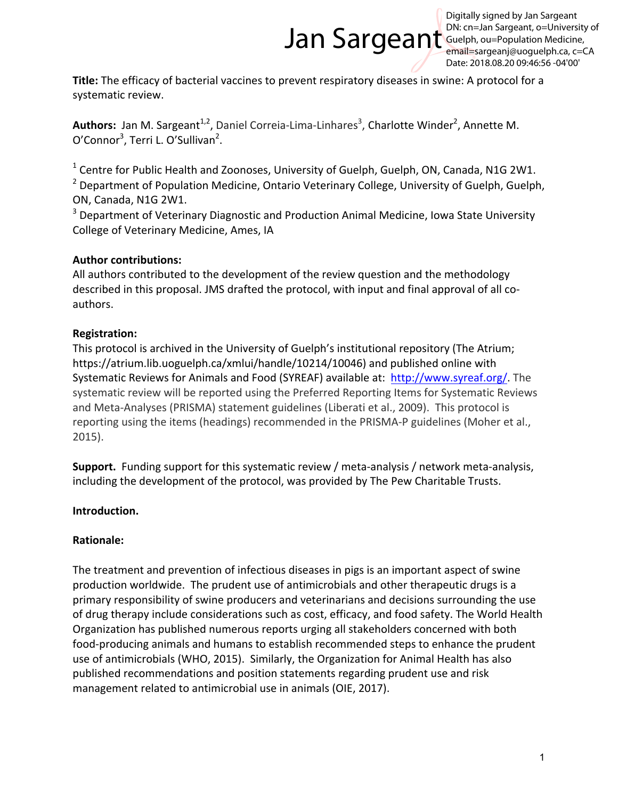# Jan Sargeant

Digitally signed by Jan Sargeant DN: cn=Jan Sargeant, o=University of Guelph, ou=Population Medicine, email=sargeanj@uoguelph.ca, c=CA Date: 2018.08.20 09:46:56 -04'00'

**Title:** The efficacy of bacterial vaccines to prevent respiratory diseases in swine: A protocol for a systematic review.

Authors: Jan M. Sargeant<sup>1,2</sup>, Daniel Correia-Lima-Linhares<sup>3</sup>, Charlotte Winder<sup>2</sup>, Annette M. O'Connor<sup>3</sup>, Terri L. O'Sullivan<sup>2</sup>.

 $1$  Centre for Public Health and Zoonoses, University of Guelph, Guelph, ON, Canada, N1G 2W1.

 $2$  Department of Population Medicine, Ontario Veterinary College, University of Guelph, Guelph, ON, Canada, N1G 2W1.

<sup>3</sup> Department of Veterinary Diagnostic and Production Animal Medicine, Iowa State University College of Veterinary Medicine, Ames, IA

## **Author contributions:**

All authors contributed to the development of the review question and the methodology described in this proposal. JMS drafted the protocol, with input and final approval of all coauthors.

## **Registration:**

This protocol is archived in the University of Guelph's institutional repository (The Atrium; https://atrium.lib.uoguelph.ca/xmlui/handle/10214/10046) and published online with Systematic Reviews for Animals and Food (SYREAF) available at: http://www.syreaf.org/. The systematic review will be reported using the Preferred Reporting Items for Systematic Reviews and Meta-Analyses (PRISMA) statement guidelines (Liberati et al., 2009). This protocol is reporting using the items (headings) recommended in the PRISMA-P guidelines (Moher et al., 2015).

**Support.** Funding support for this systematic review / meta-analysis / network meta-analysis, including the development of the protocol, was provided by The Pew Charitable Trusts.

## **Introduction.**

## **Rationale:**

The treatment and prevention of infectious diseases in pigs is an important aspect of swine production worldwide. The prudent use of antimicrobials and other therapeutic drugs is a primary responsibility of swine producers and veterinarians and decisions surrounding the use of drug therapy include considerations such as cost, efficacy, and food safety. The World Health Organization has published numerous reports urging all stakeholders concerned with both food-producing animals and humans to establish recommended steps to enhance the prudent use of antimicrobials (WHO, 2015). Similarly, the Organization for Animal Health has also published recommendations and position statements regarding prudent use and risk management related to antimicrobial use in animals (OIE, 2017).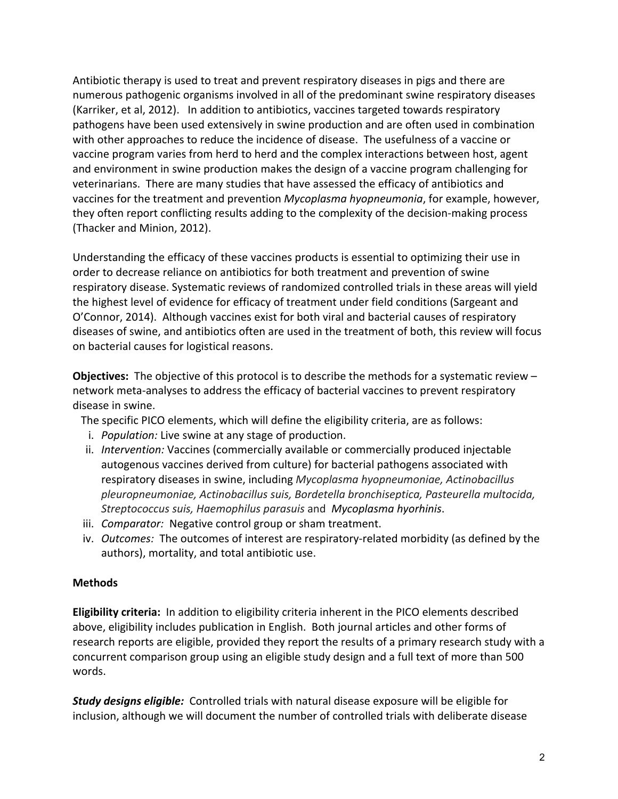Antibiotic therapy is used to treat and prevent respiratory diseases in pigs and there are numerous pathogenic organisms involved in all of the predominant swine respiratory diseases (Karriker, et al, 2012). In addition to antibiotics, vaccines targeted towards respiratory pathogens have been used extensively in swine production and are often used in combination with other approaches to reduce the incidence of disease. The usefulness of a vaccine or vaccine program varies from herd to herd and the complex interactions between host, agent and environment in swine production makes the design of a vaccine program challenging for veterinarians. There are many studies that have assessed the efficacy of antibiotics and vaccines for the treatment and prevention *Mycoplasma hyopneumonia*, for example, however, they often report conflicting results adding to the complexity of the decision-making process (Thacker and Minion, 2012).

Understanding the efficacy of these vaccines products is essential to optimizing their use in order to decrease reliance on antibiotics for both treatment and prevention of swine respiratory disease. Systematic reviews of randomized controlled trials in these areas will yield the highest level of evidence for efficacy of treatment under field conditions (Sargeant and O'Connor, 2014). Although vaccines exist for both viral and bacterial causes of respiratory diseases of swine, and antibiotics often are used in the treatment of both, this review will focus on bacterial causes for logistical reasons.

**Objectives:** The objective of this protocol is to describe the methods for a systematic review – network meta-analyses to address the efficacy of bacterial vaccines to prevent respiratory disease in swine.

The specific PICO elements, which will define the eligibility criteria, are as follows:

- i. Population: Live swine at any stage of production.
- ii. *Intervention:* Vaccines (commercially available or commercially produced injectable autogenous vaccines derived from culture) for bacterial pathogens associated with respiratory diseases in swine, including *Mycoplasma hyopneumoniae, Actinobacillus pleuropneumoniae, Actinobacillus suis, Bordetella bronchiseptica, Pasteurella multocida, Streptococcus suis, Haemophilus parasuis* and *Mycoplasma hyorhinis*.
- iii. *Comparator:* Negative control group or sham treatment.
- iv. *Outcomes:* The outcomes of interest are respiratory-related morbidity (as defined by the authors), mortality, and total antibiotic use.

## **Methods**

**Eligibility criteria:** In addition to eligibility criteria inherent in the PICO elements described above, eligibility includes publication in English. Both journal articles and other forms of research reports are eligible, provided they report the results of a primary research study with a concurrent comparison group using an eligible study design and a full text of more than 500 words. 

**Study designs eligible:** Controlled trials with natural disease exposure will be eligible for inclusion, although we will document the number of controlled trials with deliberate disease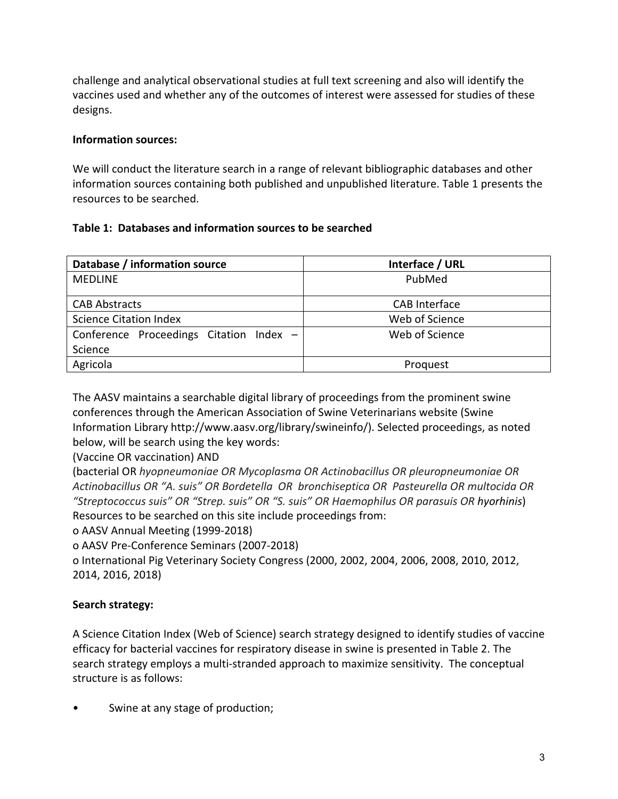challenge and analytical observational studies at full text screening and also will identify the vaccines used and whether any of the outcomes of interest were assessed for studies of these designs. 

#### **Information sources:**

We will conduct the literature search in a range of relevant bibliographic databases and other information sources containing both published and unpublished literature. Table 1 presents the resources to be searched.

#### Table 1: Databases and information sources to be searched

| Database / information source           | Interface / URL      |
|-----------------------------------------|----------------------|
| <b>MEDLINE</b>                          | PubMed               |
|                                         |                      |
| <b>CAB Abstracts</b>                    | <b>CAB</b> Interface |
| <b>Science Citation Index</b>           | Web of Science       |
| Conference Proceedings Citation Index - | Web of Science       |
| Science                                 |                      |
| Agricola                                | Proquest             |

The AASV maintains a searchable digital library of proceedings from the prominent swine conferences through the American Association of Swine Veterinarians website (Swine Information Library http://www.aasv.org/library/swineinfo/). Selected proceedings, as noted below, will be search using the key words:

(Vaccine OR vaccination) AND

(bacterial OR *hyopneumoniae OR Mycoplasma OR Actinobacillus OR pleuropneumoniae OR* Actinobacillus OR "A. suis" OR Bordetella OR bronchiseptica OR Pasteurella OR multocida OR *"Streptococcus suis" OR "Strep. suis" OR "S. suis" OR Haemophilus OR parasuis OR hyorhinis*) Resources to be searched on this site include proceedings from:

o AASV Annual Meeting (1999-2018)

o AASV Pre-Conference Seminars (2007-2018) 

o International Pig Veterinary Society Congress (2000, 2002, 2004, 2006, 2008, 2010, 2012, 2014, 2016, 2018)

## **Search strategy:**

A Science Citation Index (Web of Science) search strategy designed to identify studies of vaccine efficacy for bacterial vaccines for respiratory disease in swine is presented in Table 2. The search strategy employs a multi-stranded approach to maximize sensitivity. The conceptual structure is as follows:

Swine at any stage of production;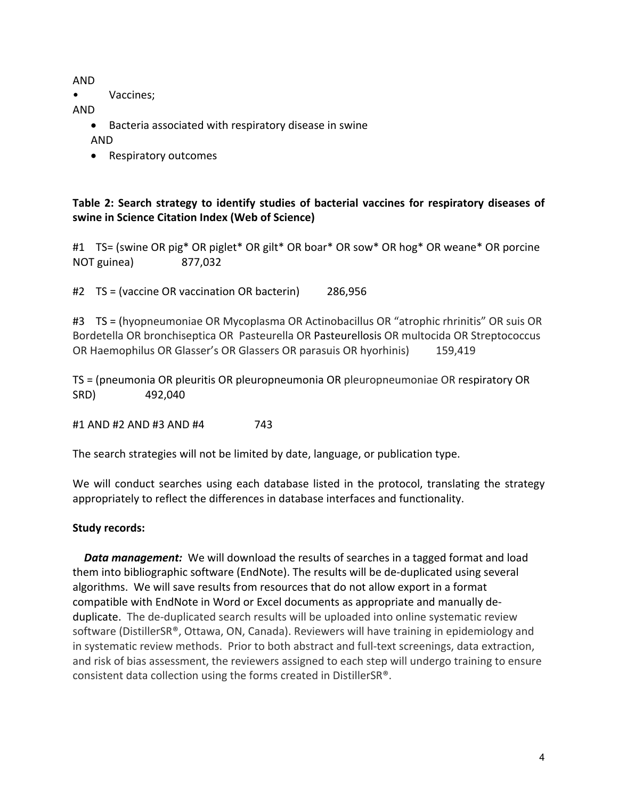AND

• Vaccines;

AND

- Bacteria associated with respiratory disease in swine AND
- Respiratory outcomes

## Table 2: Search strategy to identify studies of bacterial vaccines for respiratory diseases of swine in Science Citation Index (Web of Science)

#1 TS= (swine OR pig\* OR piglet\* OR gilt\* OR boar\* OR sow\* OR hog\* OR weane\* OR porcine NOT guinea) 877,032

#2 TS = (vaccine OR vaccination OR bacterin) 286,956

#3 TS = (hyopneumoniae OR Mycoplasma OR Actinobacillus OR "atrophic rhrinitis" OR suis OR Bordetella OR bronchiseptica OR Pasteurella OR Pasteurellosis OR multocida OR Streptococcus OR Haemophilus OR Glasser's OR Glassers OR parasuis OR hyorhinis) 159,419

TS = (pneumonia OR pleuritis OR pleuropneumonia OR pleuropneumoniae OR respiratory OR SRD) 492,040

#1 AND #2 AND #3 AND #4 743

The search strategies will not be limited by date, language, or publication type.

We will conduct searches using each database listed in the protocol, translating the strategy appropriately to reflect the differences in database interfaces and functionality.

## **Study records:**

**Data management:** We will download the results of searches in a tagged format and load them into bibliographic software (EndNote). The results will be de-duplicated using several algorithms. We will save results from resources that do not allow export in a format compatible with EndNote in Word or Excel documents as appropriate and manually deduplicate. The de-duplicated search results will be uploaded into online systematic review software (DistillerSR®, Ottawa, ON, Canada). Reviewers will have training in epidemiology and in systematic review methods. Prior to both abstract and full-text screenings, data extraction, and risk of bias assessment, the reviewers assigned to each step will undergo training to ensure consistent data collection using the forms created in DistillerSR®.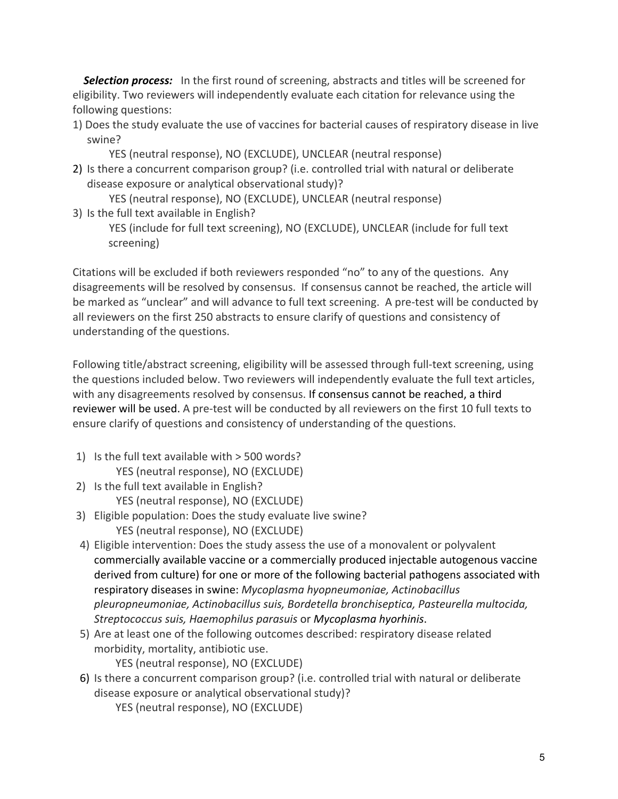**Selection process:** In the first round of screening, abstracts and titles will be screened for eligibility. Two reviewers will independently evaluate each citation for relevance using the following questions:

1) Does the study evaluate the use of vaccines for bacterial causes of respiratory disease in live swine? 

YES (neutral response), NO (EXCLUDE), UNCLEAR (neutral response)

2) Is there a concurrent comparison group? (i.e. controlled trial with natural or deliberate disease exposure or analytical observational study)?

YES (neutral response), NO (EXCLUDE), UNCLEAR (neutral response)

3) Is the full text available in English?

YES (include for full text screening), NO (EXCLUDE), UNCLEAR (include for full text screening)

Citations will be excluded if both reviewers responded "no" to any of the questions. Any disagreements will be resolved by consensus. If consensus cannot be reached, the article will be marked as "unclear" and will advance to full text screening. A pre-test will be conducted by all reviewers on the first 250 abstracts to ensure clarify of questions and consistency of understanding of the questions.

Following title/abstract screening, eligibility will be assessed through full-text screening, using the questions included below. Two reviewers will independently evaluate the full text articles, with any disagreements resolved by consensus. If consensus cannot be reached, a third reviewer will be used. A pre-test will be conducted by all reviewers on the first 10 full texts to ensure clarify of questions and consistency of understanding of the questions.

- 1) Is the full text available with  $>$  500 words? YES (neutral response), NO (EXCLUDE)
- 2) Is the full text available in English? YES (neutral response), NO (EXCLUDE)
- 3) Eligible population: Does the study evaluate live swine? YES (neutral response), NO (EXCLUDE)
- 4) Eligible intervention: Does the study assess the use of a monovalent or polyvalent commercially available vaccine or a commercially produced injectable autogenous vaccine derived from culture) for one or more of the following bacterial pathogens associated with respiratory diseases in swine: Mycoplasma hyopneumoniae, Actinobacillus *pleuropneumoniae, Actinobacillus suis, Bordetella bronchiseptica, Pasteurella multocida, Streptococcus suis, Haemophilus parasuis* or *Mycoplasma hyorhinis*.
- 5) Are at least one of the following outcomes described: respiratory disease related morbidity, mortality, antibiotic use.

YES (neutral response), NO (EXCLUDE)

- 6) Is there a concurrent comparison group? (i.e. controlled trial with natural or deliberate disease exposure or analytical observational study)?
	- YES (neutral response), NO (EXCLUDE)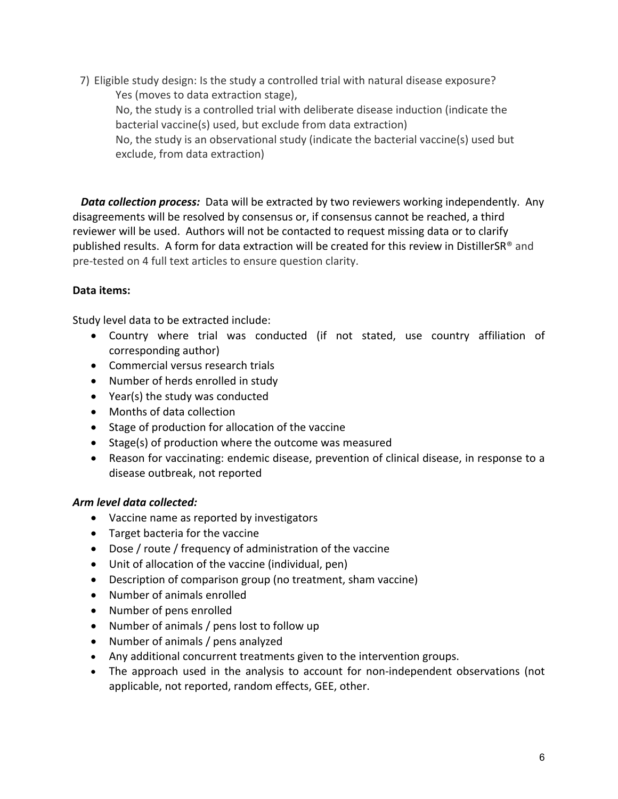7) Eligible study design: Is the study a controlled trial with natural disease exposure? Yes (moves to data extraction stage). No, the study is a controlled trial with deliberate disease induction (indicate the bacterial vaccine(s) used, but exclude from data extraction) No, the study is an observational study (indicate the bacterial vaccine(s) used but exclude, from data extraction)

**Data collection process:** Data will be extracted by two reviewers working independently. Any disagreements will be resolved by consensus or, if consensus cannot be reached, a third reviewer will be used. Authors will not be contacted to request missing data or to clarify published results. A form for data extraction will be created for this review in DistillerSR® and pre-tested on 4 full text articles to ensure question clarity.

## **Data items:**

Study level data to be extracted include:

- Country where trial was conducted (if not stated, use country affiliation of corresponding author)
- Commercial versus research trials
- Number of herds enrolled in study
- Year(s) the study was conducted
- Months of data collection
- Stage of production for allocation of the vaccine
- Stage(s) of production where the outcome was measured
- Reason for vaccinating: endemic disease, prevention of clinical disease, in response to a disease outbreak, not reported

## *Arm level data collected:*

- Vaccine name as reported by investigators
- Target bacteria for the vaccine
- Dose / route / frequency of administration of the vaccine
- Unit of allocation of the vaccine (individual, pen)
- Description of comparison group (no treatment, sham vaccine)
- Number of animals enrolled
- Number of pens enrolled
- Number of animals / pens lost to follow up
- Number of animals / pens analyzed
- Any additional concurrent treatments given to the intervention groups.
- The approach used in the analysis to account for non-independent observations (not applicable, not reported, random effects, GEE, other.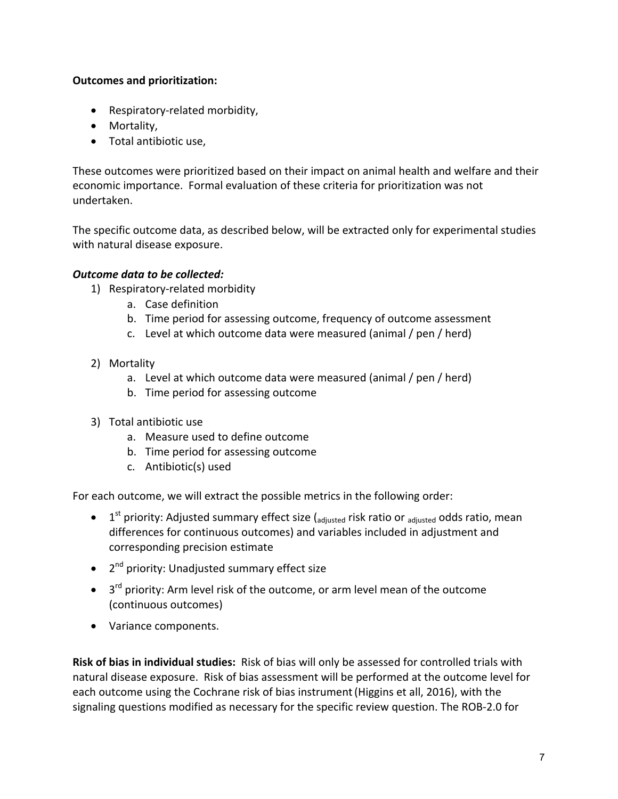#### **Outcomes and prioritization:**

- Respiratory-related morbidity,
- Mortality,
- Total antibiotic use,

These outcomes were prioritized based on their impact on animal health and welfare and their economic importance. Formal evaluation of these criteria for prioritization was not undertaken.

The specific outcome data, as described below, will be extracted only for experimental studies with natural disease exposure.

## **Outcome data to be collected:**

- 1) Respiratory-related morbidity
	- a. Case definition
	- b. Time period for assessing outcome, frequency of outcome assessment
	- c. Level at which outcome data were measured (animal / pen / herd)
- 2) Mortality
	- a. Level at which outcome data were measured (animal / pen / herd)
	- b. Time period for assessing outcome
- 3) Total antibiotic use
	- a. Measure used to define outcome
	- b. Time period for assessing outcome
	- c. Antibiotic(s) used

For each outcome, we will extract the possible metrics in the following order:

- $1<sup>st</sup>$  priority: Adjusted summary effect size ( $_{\text{adjusted}}$  risk ratio or  $_{\text{adjusted}}$  odds ratio, mean differences for continuous outcomes) and variables included in adjustment and corresponding precision estimate
- $\bullet$  2<sup>nd</sup> priority: Unadjusted summary effect size
- $\bullet$  3<sup>rd</sup> priority: Arm level risk of the outcome, or arm level mean of the outcome (continuous outcomes)
- Variance components.

**Risk of bias in individual studies:** Risk of bias will only be assessed for controlled trials with natural disease exposure. Risk of bias assessment will be performed at the outcome level for each outcome using the Cochrane risk of bias instrument (Higgins et all, 2016), with the signaling questions modified as necessary for the specific review question. The ROB-2.0 for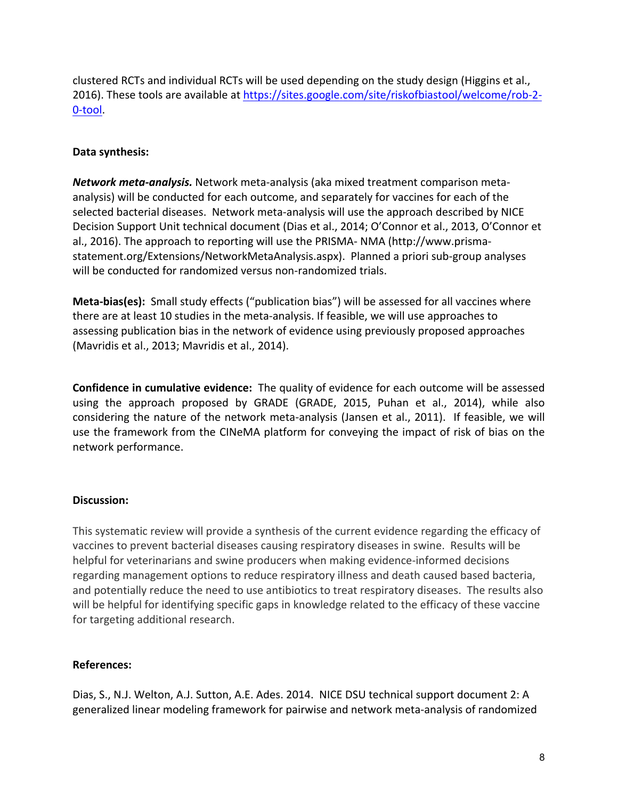clustered RCTs and individual RCTs will be used depending on the study design (Higgins et al., 2016). These tools are available at https://sites.google.com/site/riskofbiastool/welcome/rob-2-0-tool.

#### **Data synthesis:**

*Network meta-analysis.* Network meta-analysis (aka mixed treatment comparison metaanalysis) will be conducted for each outcome, and separately for vaccines for each of the selected bacterial diseases. Network meta-analysis will use the approach described by NICE Decision Support Unit technical document (Dias et al., 2014; O'Connor et al., 2013, O'Connor et al., 2016). The approach to reporting will use the PRISMA- NMA (http://www.prismastatement.org/Extensions/NetworkMetaAnalysis.aspx). Planned a priori sub-group analyses will be conducted for randomized versus non-randomized trials.

**Meta-bias(es):** Small study effects ("publication bias") will be assessed for all vaccines where there are at least 10 studies in the meta-analysis. If feasible, we will use approaches to assessing publication bias in the network of evidence using previously proposed approaches (Mavridis et al., 2013; Mavridis et al., 2014).

**Confidence in cumulative evidence:** The quality of evidence for each outcome will be assessed using the approach proposed by GRADE (GRADE, 2015, Puhan et al., 2014), while also considering the nature of the network meta-analysis (Jansen et al., 2011). If feasible, we will use the framework from the CINeMA platform for conveying the impact of risk of bias on the network performance. 

#### **Discussion:**

This systematic review will provide a synthesis of the current evidence regarding the efficacy of vaccines to prevent bacterial diseases causing respiratory diseases in swine. Results will be helpful for veterinarians and swine producers when making evidence-informed decisions regarding management options to reduce respiratory illness and death caused based bacteria, and potentially reduce the need to use antibiotics to treat respiratory diseases. The results also will be helpful for identifying specific gaps in knowledge related to the efficacy of these vaccine for targeting additional research.

## **References:**

Dias, S., N.J. Welton, A.J. Sutton, A.E. Ades. 2014. NICE DSU technical support document 2: A generalized linear modeling framework for pairwise and network meta-analysis of randomized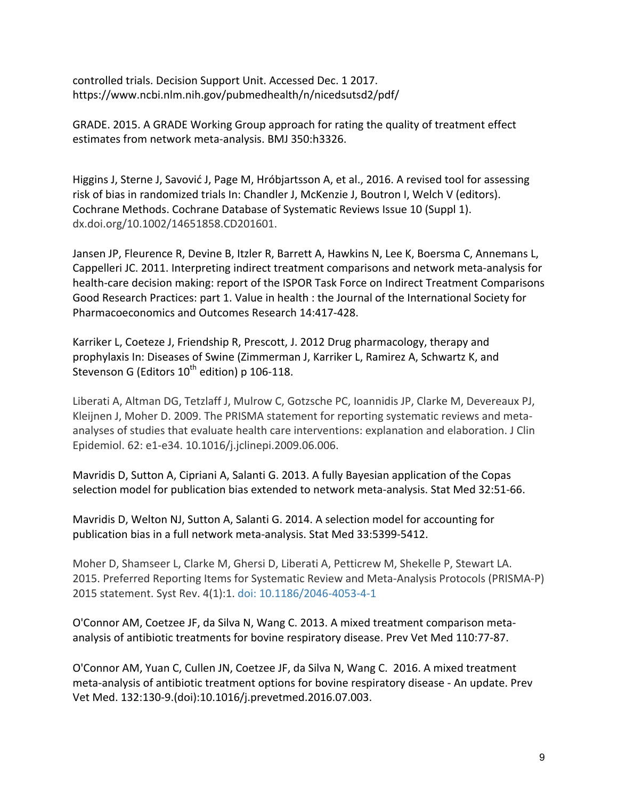controlled trials. Decision Support Unit. Accessed Dec. 1 2017. https://www.ncbi.nlm.nih.gov/pubmedhealth/n/nicedsutsd2/pdf/

GRADE. 2015. A GRADE Working Group approach for rating the quality of treatment effect estimates from network meta-analysis. BMJ 350:h3326.

Higgins J, Sterne J, Savović J, Page M, Hróbjartsson A, et al., 2016. A revised tool for assessing risk of bias in randomized trials In: Chandler J, McKenzie J, Boutron I, Welch V (editors). Cochrane Methods. Cochrane Database of Systematic Reviews Issue 10 (Suppl 1). dx.doi.org/10.1002/14651858.CD201601.

Jansen JP, Fleurence R, Devine B, Itzler R, Barrett A, Hawkins N, Lee K, Boersma C, Annemans L, Cappelleri JC. 2011. Interpreting indirect treatment comparisons and network meta-analysis for health-care decision making: report of the ISPOR Task Force on Indirect Treatment Comparisons Good Research Practices: part 1. Value in health : the Journal of the International Society for Pharmacoeconomics and Outcomes Research 14:417-428.

Karriker L, Coeteze J, Friendship R, Prescott, J. 2012 Drug pharmacology, therapy and prophylaxis In: Diseases of Swine (Zimmerman J, Karriker L, Ramirez A, Schwartz K, and Stevenson G (Editors  $10^{th}$  edition) p 106-118.

Liberati A, Altman DG, Tetzlaff J, Mulrow C, Gotzsche PC, Ioannidis JP, Clarke M, Devereaux PJ, Kleijnen J, Moher D. 2009. The PRISMA statement for reporting systematic reviews and metaanalyses of studies that evaluate health care interventions: explanation and elaboration. J Clin Epidemiol. 62: e1-e34. 10.1016/j.jclinepi.2009.06.006.

Mavridis D, Sutton A, Cipriani A, Salanti G. 2013. A fully Bayesian application of the Copas selection model for publication bias extended to network meta-analysis. Stat Med 32:51-66.

Mavridis D, Welton NJ, Sutton A, Salanti G. 2014. A selection model for accounting for publication bias in a full network meta-analysis. Stat Med 33:5399-5412.

Moher D, Shamseer L, Clarke M, Ghersi D, Liberati A, Petticrew M, Shekelle P, Stewart LA. 2015. Preferred Reporting Items for Systematic Review and Meta-Analysis Protocols (PRISMA-P) 2015 statement. Syst Rev. 4(1):1. doi: 10.1186/2046-4053-4-1

O'Connor AM, Coetzee JF, da Silva N, Wang C. 2013. A mixed treatment comparison metaanalysis of antibiotic treatments for bovine respiratory disease. Prev Vet Med 110:77-87.

O'Connor AM, Yuan C, Cullen JN, Coetzee JF, da Silva N, Wang C. 2016. A mixed treatment meta-analysis of antibiotic treatment options for bovine respiratory disease - An update. Prev Vet Med. 132:130-9.(doi):10.1016/j.prevetmed.2016.07.003.